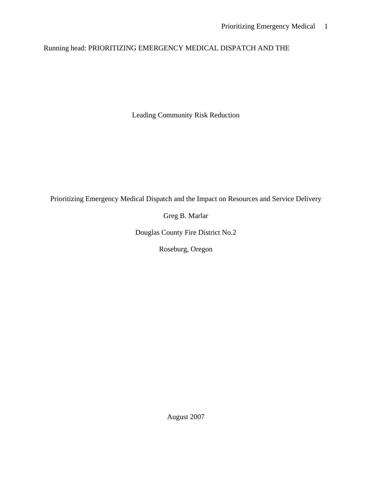# Running head: PRIORITIZING EMERGENCY MEDICAL DISPATCH AND THE

Leading Community Risk Reduction

Prioritizing Emergency Medical Dispatch and the Impact on Resources and Service Delivery

Greg B. Marlar

Douglas County Fire District No.2

Roseburg, Oregon

August 2007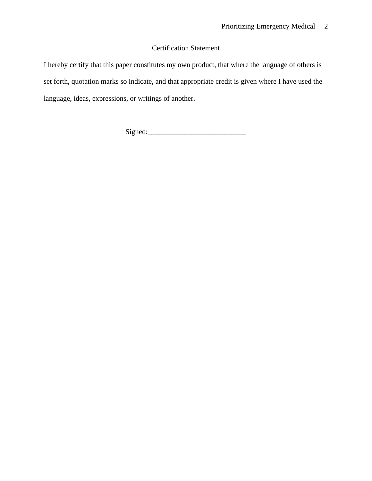# Certification Statement

I hereby certify that this paper constitutes my own product, that where the language of others is set forth, quotation marks so indicate, and that appropriate credit is given where I have used the language, ideas, expressions, or writings of another.

Signed:\_\_\_\_\_\_\_\_\_\_\_\_\_\_\_\_\_\_\_\_\_\_\_\_\_\_\_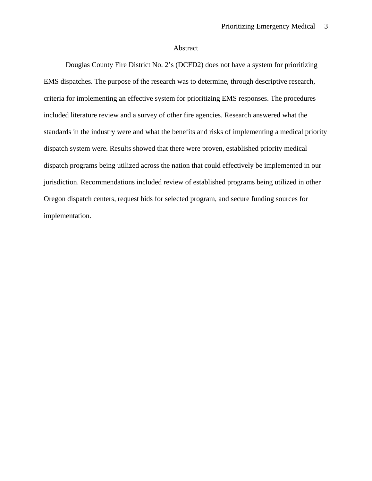# Abstract

<span id="page-2-0"></span>Douglas County Fire District No. 2's (DCFD2) does not have a system for prioritizing EMS dispatches. The purpose of the research was to determine, through descriptive research, criteria for implementing an effective system for prioritizing EMS responses. The procedures included literature review and a survey of other fire agencies. Research answered what the standards in the industry were and what the benefits and risks of implementing a medical priority dispatch system were. Results showed that there were proven, established priority medical dispatch programs being utilized across the nation that could effectively be implemented in our jurisdiction. Recommendations included review of established programs being utilized in other Oregon dispatch centers, request bids for selected program, and secure funding sources for implementation.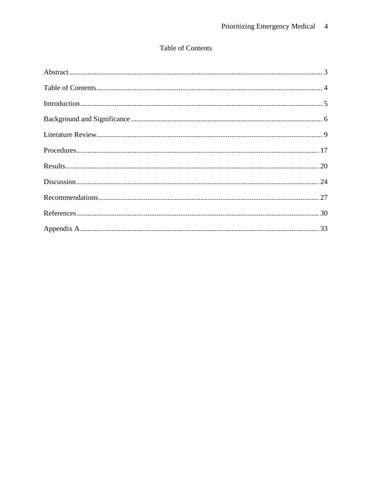# Table of Contents

<span id="page-3-0"></span>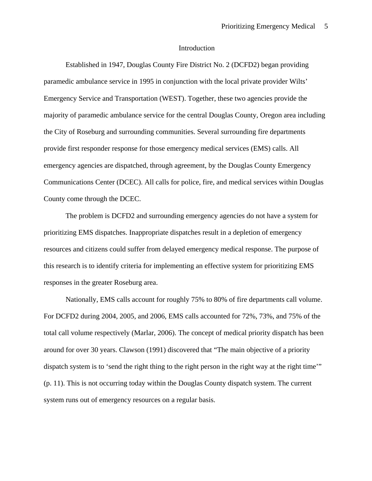## Introduction

<span id="page-4-0"></span>Established in 1947, Douglas County Fire District No. 2 (DCFD2) began providing paramedic ambulance service in 1995 in conjunction with the local private provider Wilts' Emergency Service and Transportation (WEST). Together, these two agencies provide the majority of paramedic ambulance service for the central Douglas County, Oregon area including the City of Roseburg and surrounding communities. Several surrounding fire departments provide first responder response for those emergency medical services (EMS) calls. All emergency agencies are dispatched, through agreement, by the Douglas County Emergency Communications Center (DCEC). All calls for police, fire, and medical services within Douglas County come through the DCEC.

The problem is DCFD2 and surrounding emergency agencies do not have a system for prioritizing EMS dispatches. Inappropriate dispatches result in a depletion of emergency resources and citizens could suffer from delayed emergency medical response. The purpose of this research is to identify criteria for implementing an effective system for prioritizing EMS responses in the greater Roseburg area.

Nationally, EMS calls account for roughly 75% to 80% of fire departments call volume. For DCFD2 during 2004, 2005, and 2006, EMS calls accounted for 72%, 73%, and 75% of the total call volume respectively (Marlar, 2006). The concept of medical priority dispatch has been around for over 30 years. Clawson (1991) discovered that "The main objective of a priority dispatch system is to 'send the right thing to the right person in the right way at the right time'" (p. 11). This is not occurring today within the Douglas County dispatch system. The current system runs out of emergency resources on a regular basis.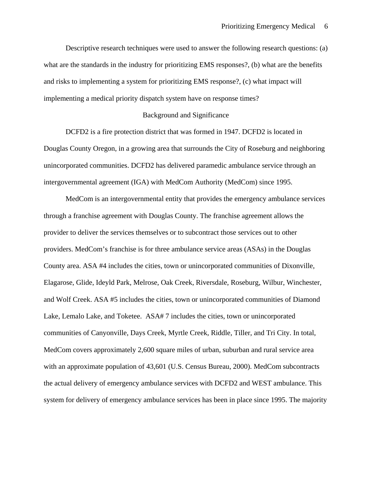<span id="page-5-0"></span>Descriptive research techniques were used to answer the following research questions: (a) what are the standards in the industry for prioritizing EMS responses?, (b) what are the benefits and risks to implementing a system for prioritizing EMS response?, (c) what impact will implementing a medical priority dispatch system have on response times?

# Background and Significance

DCFD2 is a fire protection district that was formed in 1947. DCFD2 is located in Douglas County Oregon, in a growing area that surrounds the City of Roseburg and neighboring unincorporated communities. DCFD2 has delivered paramedic ambulance service through an intergovernmental agreement (IGA) with MedCom Authority (MedCom) since 1995.

MedCom is an intergovernmental entity that provides the emergency ambulance services through a franchise agreement with Douglas County. The franchise agreement allows the provider to deliver the services themselves or to subcontract those services out to other providers. MedCom's franchise is for three ambulance service areas (ASAs) in the Douglas County area. ASA #4 includes the cities, town or unincorporated communities of Dixonville, Elagarose, Glide, Ideyld Park, Melrose, Oak Creek, Riversdale, Roseburg, Wilbur, Winchester, and Wolf Creek. ASA #5 includes the cities, town or unincorporated communities of Diamond Lake, Lemalo Lake, and Toketee. ASA# 7 includes the cities, town or unincorporated communities of Canyonville, Days Creek, Myrtle Creek, Riddle, Tiller, and Tri City. In total, MedCom covers approximately 2,600 square miles of urban, suburban and rural service area with an approximate population of 43,601 (U.S. Census Bureau, 2000). MedCom subcontracts the actual delivery of emergency ambulance services with DCFD2 and WEST ambulance. This system for delivery of emergency ambulance services has been in place since 1995. The majority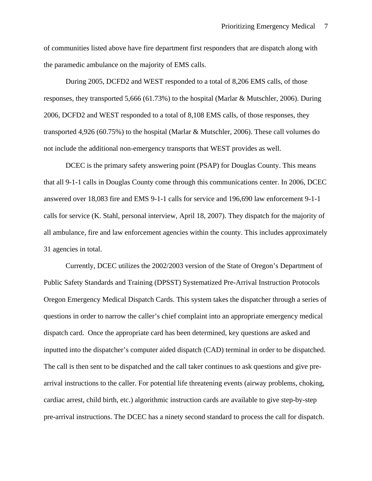of communities listed above have fire department first responders that are dispatch along with the paramedic ambulance on the majority of EMS calls.

During 2005, DCFD2 and WEST responded to a total of 8,206 EMS calls, of those responses, they transported 5,666 (61.73%) to the hospital (Marlar & Mutschler, 2006). During 2006, DCFD2 and WEST responded to a total of 8,108 EMS calls, of those responses, they transported 4,926 (60.75%) to the hospital (Marlar & Mutschler, 2006). These call volumes do not include the additional non-emergency transports that WEST provides as well.

DCEC is the primary safety answering point (PSAP) for Douglas County. This means that all 9-1-1 calls in Douglas County come through this communications center. In 2006, DCEC answered over 18,083 fire and EMS 9-1-1 calls for service and 196,690 law enforcement 9-1-1 calls for service (K. Stahl, personal interview, April 18, 2007). They dispatch for the majority of all ambulance, fire and law enforcement agencies within the county. This includes approximately 31 agencies in total.

Currently, DCEC utilizes the 2002/2003 version of the State of Oregon's Department of Public Safety Standards and Training (DPSST) Systematized Pre-Arrival Instruction Protocols Oregon Emergency Medical Dispatch Cards. This system takes the dispatcher through a series of questions in order to narrow the caller's chief complaint into an appropriate emergency medical dispatch card. Once the appropriate card has been determined, key questions are asked and inputted into the dispatcher's computer aided dispatch (CAD) terminal in order to be dispatched. The call is then sent to be dispatched and the call taker continues to ask questions and give prearrival instructions to the caller. For potential life threatening events (airway problems, choking, cardiac arrest, child birth, etc.) algorithmic instruction cards are available to give step-by-step pre-arrival instructions. The DCEC has a ninety second standard to process the call for dispatch.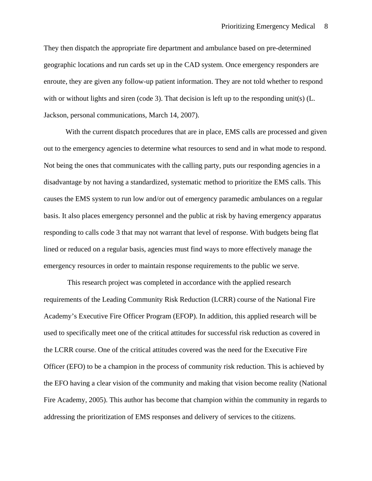They then dispatch the appropriate fire department and ambulance based on pre-determined geographic locations and run cards set up in the CAD system. Once emergency responders are enroute, they are given any follow-up patient information. They are not told whether to respond with or without lights and siren (code 3). That decision is left up to the responding unit(s) (L. Jackson, personal communications, March 14, 2007).

With the current dispatch procedures that are in place, EMS calls are processed and given out to the emergency agencies to determine what resources to send and in what mode to respond. Not being the ones that communicates with the calling party, puts our responding agencies in a disadvantage by not having a standardized, systematic method to prioritize the EMS calls. This causes the EMS system to run low and/or out of emergency paramedic ambulances on a regular basis. It also places emergency personnel and the public at risk by having emergency apparatus responding to calls code 3 that may not warrant that level of response. With budgets being flat lined or reduced on a regular basis, agencies must find ways to more effectively manage the emergency resources in order to maintain response requirements to the public we serve.

 This research project was completed in accordance with the applied research requirements of the Leading Community Risk Reduction (LCRR) course of the National Fire Academy's Executive Fire Officer Program (EFOP). In addition, this applied research will be used to specifically meet one of the critical attitudes for successful risk reduction as covered in the LCRR course. One of the critical attitudes covered was the need for the Executive Fire Officer (EFO) to be a champion in the process of community risk reduction. This is achieved by the EFO having a clear vision of the community and making that vision become reality (National Fire Academy, 2005). This author has become that champion within the community in regards to addressing the prioritization of EMS responses and delivery of services to the citizens.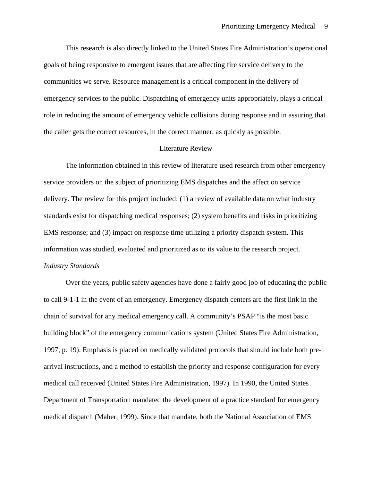<span id="page-8-0"></span>This research is also directly linked to the United States Fire Administration's operational goals of being responsive to emergent issues that are affecting fire service delivery to the communities we serve. Resource management is a critical component in the delivery of emergency services to the public. Dispatching of emergency units appropriately, plays a critical role in reducing the amount of emergency vehicle collisions during response and in assuring that the caller gets the correct resources, in the correct manner, as quickly as possible.

# Literature Review

The information obtained in this review of literature used research from other emergency service providers on the subject of prioritizing EMS dispatches and the affect on service delivery. The review for this project included: (1) a review of available data on what industry standards exist for dispatching medical responses; (2) system benefits and risks in prioritizing EMS response; and (3) impact on response time utilizing a priority dispatch system. This information was studied, evaluated and prioritized as to its value to the research project. *Industry Standards* 

Over the years, public safety agencies have done a fairly good job of educating the public to call 9-1-1 in the event of an emergency. Emergency dispatch centers are the first link in the chain of survival for any medical emergency call. A community's PSAP "is the most basic building block" of the emergency communications system (United States Fire Administration, 1997, p. 19). Emphasis is placed on medically validated protocols that should include both prearrival instructions, and a method to establish the priority and response configuration for every medical call received (United States Fire Administration, 1997). In 1990, the United States Department of Transportation mandated the development of a practice standard for emergency medical dispatch (Maher, 1999). Since that mandate, both the National Association of EMS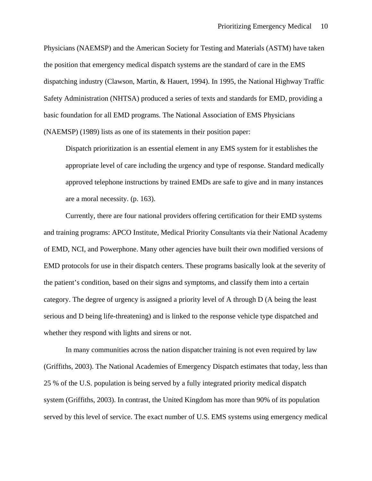Physicians (NAEMSP) and the American Society for Testing and Materials (ASTM) have taken the position that emergency medical dispatch systems are the standard of care in the EMS dispatching industry (Clawson, Martin, & Hauert, 1994). In 1995, the National Highway Traffic Safety Administration (NHTSA) produced a series of texts and standards for EMD, providing a basic foundation for all EMD programs. The National Association of EMS Physicians (NAEMSP) (1989) lists as one of its statements in their position paper:

Dispatch prioritization is an essential element in any EMS system for it establishes the appropriate level of care including the urgency and type of response. Standard medically approved telephone instructions by trained EMDs are safe to give and in many instances are a moral necessity. (p. 163).

Currently, there are four national providers offering certification for their EMD systems and training programs: APCO Institute, Medical Priority Consultants via their National Academy of EMD, NCI, and Powerphone. Many other agencies have built their own modified versions of EMD protocols for use in their dispatch centers. These programs basically look at the severity of the patient's condition, based on their signs and symptoms, and classify them into a certain category. The degree of urgency is assigned a priority level of A through D (A being the least serious and D being life-threatening) and is linked to the response vehicle type dispatched and whether they respond with lights and sirens or not.

In many communities across the nation dispatcher training is not even required by law (Griffiths, 2003). The National Academies of Emergency Dispatch estimates that today, less than 25 % of the U.S. population is being served by a fully integrated priority medical dispatch system (Griffiths, 2003). In contrast, the United Kingdom has more than 90% of its population served by this level of service. The exact number of U.S. EMS systems using emergency medical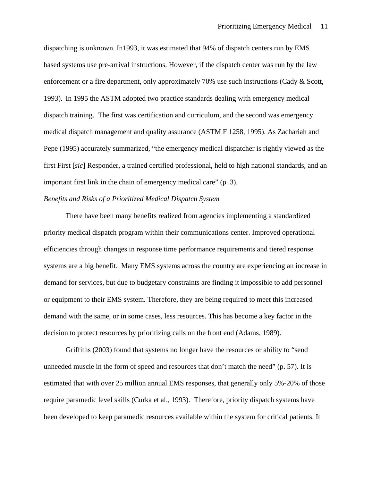dispatching is unknown. In1993, it was estimated that 94% of dispatch centers run by EMS based systems use pre-arrival instructions. However, if the dispatch center was run by the law enforcement or a fire department, only approximately 70% use such instructions (Cady & Scott, 1993). In 1995 the ASTM adopted two practice standards dealing with emergency medical dispatch training. The first was certification and curriculum, and the second was emergency medical dispatch management and quality assurance (ASTM F 1258, 1995). As Zachariah and Pepe (1995) accurately summarized, "the emergency medical dispatcher is rightly viewed as the first First [*sic*] Responder, a trained certified professional, held to high national standards, and an important first link in the chain of emergency medical care" (p. 3).

# *Benefits and Risks of a Prioritized Medical Dispatch System*

There have been many benefits realized from agencies implementing a standardized priority medical dispatch program within their communications center. Improved operational efficiencies through changes in response time performance requirements and tiered response systems are a big benefit. Many EMS systems across the country are experiencing an increase in demand for services, but due to budgetary constraints are finding it impossible to add personnel or equipment to their EMS system. Therefore, they are being required to meet this increased demand with the same, or in some cases, less resources. This has become a key factor in the decision to protect resources by prioritizing calls on the front end (Adams, 1989).

Griffiths (2003) found that systems no longer have the resources or ability to "send unneeded muscle in the form of speed and resources that don't match the need" (p. 57). It is estimated that with over 25 million annual EMS responses, that generally only 5%-20% of those require paramedic level skills (Curka et al., 1993). Therefore, priority dispatch systems have been developed to keep paramedic resources available within the system for critical patients. It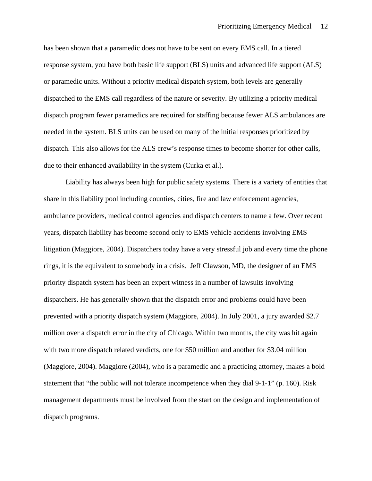has been shown that a paramedic does not have to be sent on every EMS call. In a tiered response system, you have both basic life support (BLS) units and advanced life support (ALS) or paramedic units. Without a priority medical dispatch system, both levels are generally dispatched to the EMS call regardless of the nature or severity. By utilizing a priority medical dispatch program fewer paramedics are required for staffing because fewer ALS ambulances are needed in the system. BLS units can be used on many of the initial responses prioritized by dispatch. This also allows for the ALS crew's response times to become shorter for other calls, due to their enhanced availability in the system (Curka et al.).

Liability has always been high for public safety systems. There is a variety of entities that share in this liability pool including counties, cities, fire and law enforcement agencies, ambulance providers, medical control agencies and dispatch centers to name a few. Over recent years, dispatch liability has become second only to EMS vehicle accidents involving EMS litigation (Maggiore, 2004). Dispatchers today have a very stressful job and every time the phone rings, it is the equivalent to somebody in a crisis. Jeff Clawson, MD, the designer of an EMS priority dispatch system has been an expert witness in a number of lawsuits involving dispatchers. He has generally shown that the dispatch error and problems could have been prevented with a priority dispatch system (Maggiore, 2004). In July 2001, a jury awarded \$2.7 million over a dispatch error in the city of Chicago. Within two months, the city was hit again with two more dispatch related verdicts, one for \$50 million and another for \$3.04 million (Maggiore, 2004). Maggiore (2004), who is a paramedic and a practicing attorney, makes a bold statement that "the public will not tolerate incompetence when they dial 9-1-1" (p. 160). Risk management departments must be involved from the start on the design and implementation of dispatch programs.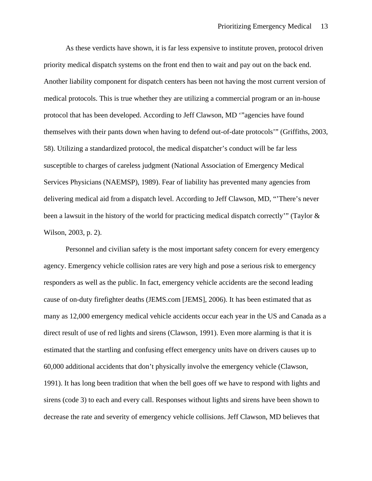As these verdicts have shown, it is far less expensive to institute proven, protocol driven priority medical dispatch systems on the front end then to wait and pay out on the back end. Another liability component for dispatch centers has been not having the most current version of medical protocols. This is true whether they are utilizing a commercial program or an in-house protocol that has been developed. According to Jeff Clawson, MD '"agencies have found themselves with their pants down when having to defend out-of-date protocols'" (Griffiths, 2003, 58). Utilizing a standardized protocol, the medical dispatcher's conduct will be far less susceptible to charges of careless judgment (National Association of Emergency Medical Services Physicians (NAEMSP), 1989). Fear of liability has prevented many agencies from delivering medical aid from a dispatch level. According to Jeff Clawson, MD, "'There's never been a lawsuit in the history of the world for practicing medical dispatch correctly'" (Taylor & Wilson, 2003, p. 2).

Personnel and civilian safety is the most important safety concern for every emergency agency. Emergency vehicle collision rates are very high and pose a serious risk to emergency responders as well as the public. In fact, emergency vehicle accidents are the second leading cause of on-duty firefighter deaths (JEMS.com [JEMS], 2006). It has been estimated that as many as 12,000 emergency medical vehicle accidents occur each year in the US and Canada as a direct result of use of red lights and sirens (Clawson, 1991). Even more alarming is that it is estimated that the startling and confusing effect emergency units have on drivers causes up to 60,000 additional accidents that don't physically involve the emergency vehicle (Clawson, 1991). It has long been tradition that when the bell goes off we have to respond with lights and sirens (code 3) to each and every call. Responses without lights and sirens have been shown to decrease the rate and severity of emergency vehicle collisions. Jeff Clawson, MD believes that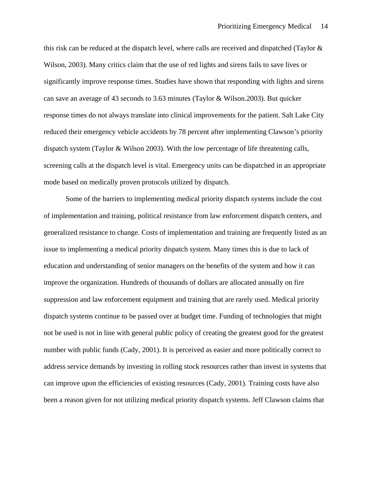this risk can be reduced at the dispatch level, where calls are received and dispatched (Taylor & Wilson, 2003). Many critics claim that the use of red lights and sirens fails to save lives or significantly improve response times. Studies have shown that responding with lights and sirens can save an average of 43 seconds to 3.63 minutes (Taylor & Wilson.2003). But quicker response times do not always translate into clinical improvements for the patient. Salt Lake City reduced their emergency vehicle accidents by 78 percent after implementing Clawson's priority dispatch system (Taylor & Wilson 2003). With the low percentage of life threatening calls, screening calls at the dispatch level is vital. Emergency units can be dispatched in an appropriate mode based on medically proven protocols utilized by dispatch.

Some of the barriers to implementing medical priority dispatch systems include the cost of implementation and training, political resistance from law enforcement dispatch centers, and generalized resistance to change. Costs of implementation and training are frequently listed as an issue to implementing a medical priority dispatch system. Many times this is due to lack of education and understanding of senior managers on the benefits of the system and how it can improve the organization. Hundreds of thousands of dollars are allocated annually on fire suppression and law enforcement equipment and training that are rarely used. Medical priority dispatch systems continue to be passed over at budget time. Funding of technologies that might not be used is not in line with general public policy of creating the greatest good for the greatest number with public funds (Cady, 2001). It is perceived as easier and more politically correct to address service demands by investing in rolling stock resources rather than invest in systems that can improve upon the efficiencies of existing resources (Cady, 2001). Training costs have also been a reason given for not utilizing medical priority dispatch systems. Jeff Clawson claims that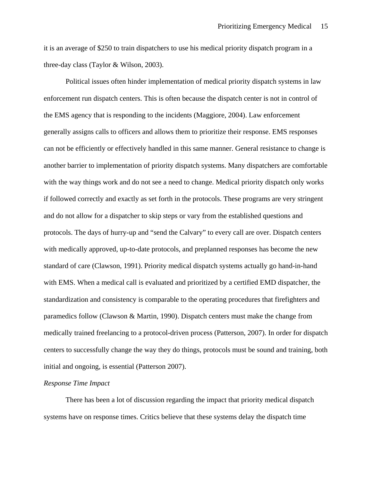it is an average of \$250 to train dispatchers to use his medical priority dispatch program in a three-day class (Taylor & Wilson, 2003).

Political issues often hinder implementation of medical priority dispatch systems in law enforcement run dispatch centers. This is often because the dispatch center is not in control of the EMS agency that is responding to the incidents (Maggiore, 2004). Law enforcement generally assigns calls to officers and allows them to prioritize their response. EMS responses can not be efficiently or effectively handled in this same manner. General resistance to change is another barrier to implementation of priority dispatch systems. Many dispatchers are comfortable with the way things work and do not see a need to change. Medical priority dispatch only works if followed correctly and exactly as set forth in the protocols. These programs are very stringent and do not allow for a dispatcher to skip steps or vary from the established questions and protocols. The days of hurry-up and "send the Calvary" to every call are over. Dispatch centers with medically approved, up-to-date protocols, and preplanned responses has become the new standard of care (Clawson, 1991). Priority medical dispatch systems actually go hand-in-hand with EMS. When a medical call is evaluated and prioritized by a certified EMD dispatcher, the standardization and consistency is comparable to the operating procedures that firefighters and paramedics follow (Clawson & Martin, 1990). Dispatch centers must make the change from medically trained freelancing to a protocol-driven process (Patterson, 2007). In order for dispatch centers to successfully change the way they do things, protocols must be sound and training, both initial and ongoing, is essential (Patterson 2007).

# *Response Time Impact*

There has been a lot of discussion regarding the impact that priority medical dispatch systems have on response times. Critics believe that these systems delay the dispatch time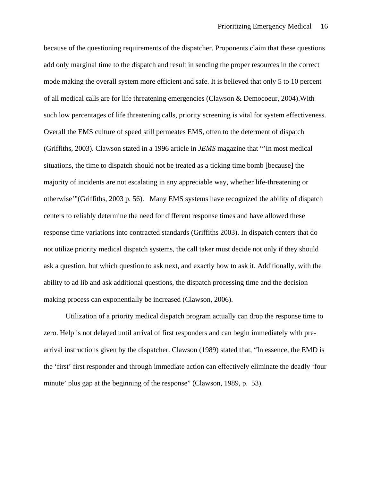because of the questioning requirements of the dispatcher. Proponents claim that these questions add only marginal time to the dispatch and result in sending the proper resources in the correct mode making the overall system more efficient and safe. It is believed that only 5 to 10 percent of all medical calls are for life threatening emergencies (Clawson & Democoeur, 2004).With such low percentages of life threatening calls, priority screening is vital for system effectiveness. Overall the EMS culture of speed still permeates EMS, often to the determent of dispatch (Griffiths, 2003). Clawson stated in a 1996 article in *JEMS* magazine that "'In most medical situations, the time to dispatch should not be treated as a ticking time bomb [because] the majority of incidents are not escalating in any appreciable way, whether life-threatening or otherwise'"(Griffiths, 2003 p. 56). Many EMS systems have recognized the ability of dispatch centers to reliably determine the need for different response times and have allowed these response time variations into contracted standards (Griffiths 2003). In dispatch centers that do not utilize priority medical dispatch systems, the call taker must decide not only if they should ask a question, but which question to ask next, and exactly how to ask it. Additionally, with the ability to ad lib and ask additional questions, the dispatch processing time and the decision making process can exponentially be increased (Clawson, 2006).

Utilization of a priority medical dispatch program actually can drop the response time to zero. Help is not delayed until arrival of first responders and can begin immediately with prearrival instructions given by the dispatcher. Clawson (1989) stated that, "In essence, the EMD is the 'first' first responder and through immediate action can effectively eliminate the deadly 'four minute' plus gap at the beginning of the response" (Clawson, 1989, p. 53).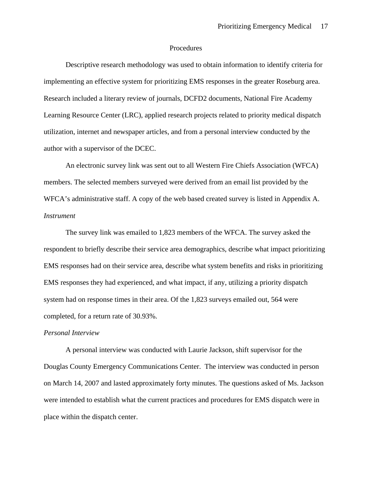## Procedures

<span id="page-16-0"></span>Descriptive research methodology was used to obtain information to identify criteria for implementing an effective system for prioritizing EMS responses in the greater Roseburg area. Research included a literary review of journals, DCFD2 documents, National Fire Academy Learning Resource Center (LRC), applied research projects related to priority medical dispatch utilization, internet and newspaper articles, and from a personal interview conducted by the author with a supervisor of the DCEC.

An electronic survey link was sent out to all Western Fire Chiefs Association (WFCA) members. The selected members surveyed were derived from an email list provided by the WFCA's administrative staff. A copy of the web based created survey is listed in Appendix A. *Instrument* 

 The survey link was emailed to 1,823 members of the WFCA. The survey asked the respondent to briefly describe their service area demographics, describe what impact prioritizing EMS responses had on their service area, describe what system benefits and risks in prioritizing EMS responses they had experienced, and what impact, if any, utilizing a priority dispatch system had on response times in their area. Of the 1,823 surveys emailed out, 564 were completed, for a return rate of 30.93%.

## *Personal Interview*

A personal interview was conducted with Laurie Jackson, shift supervisor for the Douglas County Emergency Communications Center. The interview was conducted in person on March 14, 2007 and lasted approximately forty minutes. The questions asked of Ms. Jackson were intended to establish what the current practices and procedures for EMS dispatch were in place within the dispatch center.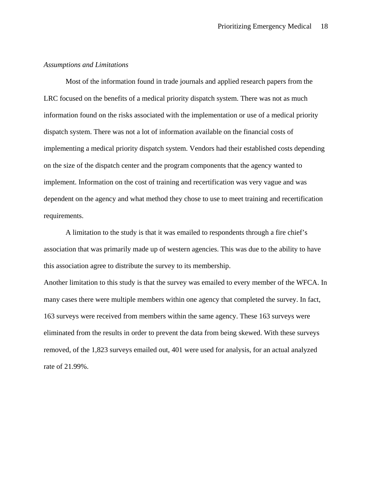# *Assumptions and Limitations*

Most of the information found in trade journals and applied research papers from the LRC focused on the benefits of a medical priority dispatch system. There was not as much information found on the risks associated with the implementation or use of a medical priority dispatch system. There was not a lot of information available on the financial costs of implementing a medical priority dispatch system. Vendors had their established costs depending on the size of the dispatch center and the program components that the agency wanted to implement. Information on the cost of training and recertification was very vague and was dependent on the agency and what method they chose to use to meet training and recertification requirements.

A limitation to the study is that it was emailed to respondents through a fire chief's association that was primarily made up of western agencies. This was due to the ability to have this association agree to distribute the survey to its membership.

Another limitation to this study is that the survey was emailed to every member of the WFCA. In many cases there were multiple members within one agency that completed the survey. In fact, 163 surveys were received from members within the same agency. These 163 surveys were eliminated from the results in order to prevent the data from being skewed. With these surveys removed, of the 1,823 surveys emailed out, 401 were used for analysis, for an actual analyzed rate of 21.99%.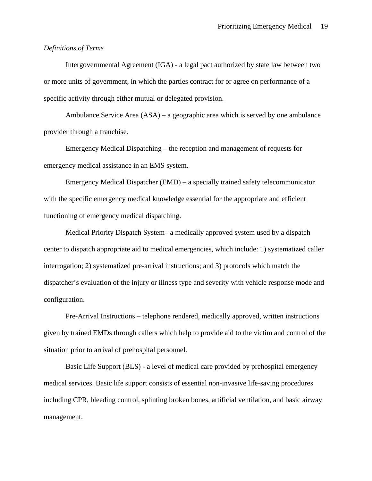# *Definitions of Terms*

Intergovernmental Agreement (IGA) - a legal pact authorized by state law between two or more units of government, in which the parties contract for or agree on performance of a specific activity through either mutual or delegated provision.

Ambulance Service Area (ASA) – a geographic area which is served by one ambulance provider through a franchise.

Emergency Medical Dispatching – the reception and management of requests for emergency medical assistance in an EMS system.

Emergency Medical Dispatcher (EMD) – a specially trained safety telecommunicator with the specific emergency medical knowledge essential for the appropriate and efficient functioning of emergency medical dispatching.

Medical Priority Dispatch System– a medically approved system used by a dispatch center to dispatch appropriate aid to medical emergencies, which include: 1) systematized caller interrogation; 2) systematized pre-arrival instructions; and 3) protocols which match the dispatcher's evaluation of the injury or illness type and severity with vehicle response mode and configuration.

Pre-Arrival Instructions – telephone rendered, medically approved, written instructions given by trained EMDs through callers which help to provide aid to the victim and control of the situation prior to arrival of prehospital personnel.

Basic Life Support (BLS) - a level of medical care provided by [prehospital](http://firstaid.about.com/od/glossary/g/07_prehospital.htm) emergency medical services. Basic life support consists of essential non-invasive life-saving procedures including CPR, bleeding control, splinting broken bones, artificial ventilation, and basic airway management.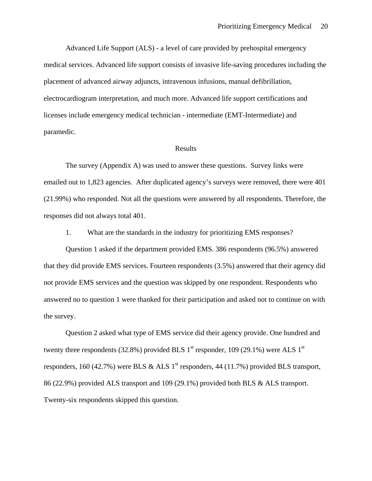<span id="page-19-0"></span>Advanced Life Support (ALS) - a level of care provided by prehospital emergency medical services. Advanced life support consists of invasive life-saving procedures including the placement of advanced airway adjuncts, intravenous infusions, manual defibrillation, electrocardiogram interpretation, and much more. Advanced life support certifications and licenses include emergency medical technician - intermediate (EMT-Intermediate) and paramedic.

## Results

The survey (Appendix A) was used to answer these questions. Survey links were emailed out to 1,823 agencies. After duplicated agency's surveys were removed, there were 401 (21.99%) who responded. Not all the questions were answered by all respondents. Therefore, the responses did not always total 401.

1. What are the standards in the industry for prioritizing EMS responses?

Question 1 asked if the department provided EMS. 386 respondents (96.5%) answered that they did provide EMS services. Fourteen respondents (3.5%) answered that their agency did not provide EMS services and the question was skipped by one respondent. Respondents who answered no to question 1 were thanked for their participation and asked not to continue on with the survey.

Question 2 asked what type of EMS service did their agency provide. One hundred and twenty three respondents (32.8%) provided BLS  $1<sup>st</sup>$  responder, 109 (29.1%) were ALS  $1<sup>st</sup>$ responders, 160 (42.7%) were BLS & ALS  $1<sup>st</sup>$  responders, 44 (11.7%) provided BLS transport, 86 (22.9%) provided ALS transport and 109 (29.1%) provided both BLS & ALS transport. Twenty-six respondents skipped this question.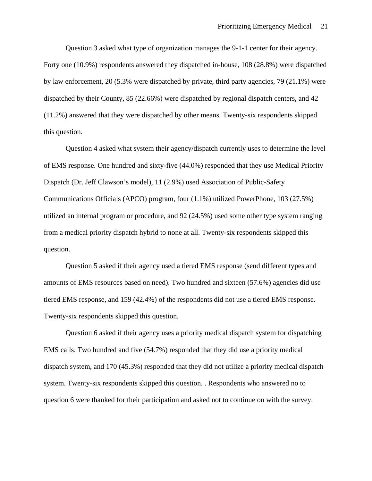Question 3 asked what type of organization manages the 9-1-1 center for their agency. Forty one (10.9%) respondents answered they dispatched in-house, 108 (28.8%) were dispatched by law enforcement, 20 (5.3% were dispatched by private, third party agencies, 79 (21.1%) were dispatched by their County, 85 (22.66%) were dispatched by regional dispatch centers, and 42 (11.2%) answered that they were dispatched by other means. Twenty-six respondents skipped this question.

Question 4 asked what system their agency/dispatch currently uses to determine the level of EMS response. One hundred and sixty-five (44.0%) responded that they use Medical Priority Dispatch (Dr. Jeff Clawson's model), 11 (2.9%) used Association of Public-Safety Communications Officials (APCO) program, four (1.1%) utilized PowerPhone, 103 (27.5%) utilized an internal program or procedure, and 92 (24.5%) used some other type system ranging from a medical priority dispatch hybrid to none at all. Twenty-six respondents skipped this question.

Question 5 asked if their agency used a tiered EMS response (send different types and amounts of EMS resources based on need). Two hundred and sixteen (57.6%) agencies did use tiered EMS response, and 159 (42.4%) of the respondents did not use a tiered EMS response. Twenty-six respondents skipped this question.

Question 6 asked if their agency uses a priority medical dispatch system for dispatching EMS calls. Two hundred and five (54.7%) responded that they did use a priority medical dispatch system, and 170 (45.3%) responded that they did not utilize a priority medical dispatch system. Twenty-six respondents skipped this question. . Respondents who answered no to question 6 were thanked for their participation and asked not to continue on with the survey.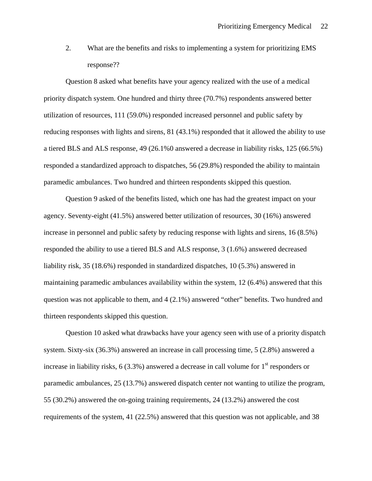2. What are the benefits and risks to implementing a system for prioritizing EMS response??

Question 8 asked what benefits have your agency realized with the use of a medical priority dispatch system. One hundred and thirty three (70.7%) respondents answered better utilization of resources, 111 (59.0%) responded increased personnel and public safety by reducing responses with lights and sirens, 81 (43.1%) responded that it allowed the ability to use a tiered BLS and ALS response, 49 (26.1%0 answered a decrease in liability risks, 125 (66.5%) responded a standardized approach to dispatches, 56 (29.8%) responded the ability to maintain paramedic ambulances. Two hundred and thirteen respondents skipped this question.

Question 9 asked of the benefits listed, which one has had the greatest impact on your agency. Seventy-eight (41.5%) answered better utilization of resources, 30 (16%) answered increase in personnel and public safety by reducing response with lights and sirens, 16 (8.5%) responded the ability to use a tiered BLS and ALS response, 3 (1.6%) answered decreased liability risk, 35 (18.6%) responded in standardized dispatches, 10 (5.3%) answered in maintaining paramedic ambulances availability within the system, 12 (6.4%) answered that this question was not applicable to them, and 4 (2.1%) answered "other" benefits. Two hundred and thirteen respondents skipped this question.

Question 10 asked what drawbacks have your agency seen with use of a priority dispatch system. Sixty-six (36.3%) answered an increase in call processing time, 5 (2.8%) answered a increase in liability risks,  $6(3.3\%)$  answered a decrease in call volume for  $1<sup>st</sup>$  responders or paramedic ambulances, 25 (13.7%) answered dispatch center not wanting to utilize the program, 55 (30.2%) answered the on-going training requirements, 24 (13.2%) answered the cost requirements of the system, 41 (22.5%) answered that this question was not applicable, and 38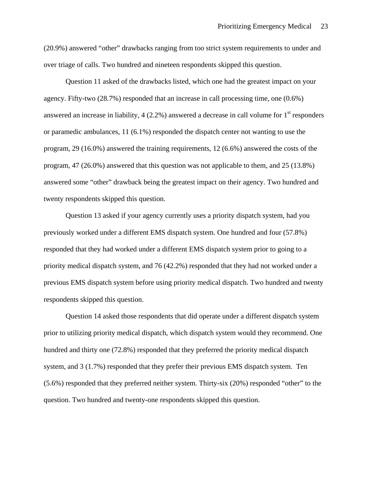(20.9%) answered "other" drawbacks ranging from too strict system requirements to under and over triage of calls. Two hundred and nineteen respondents skipped this question.

Question 11 asked of the drawbacks listed, which one had the greatest impact on your agency. Fifty-two (28.7%) responded that an increase in call processing time, one (0.6%) answered an increase in liability,  $4(2.2\%)$  answered a decrease in call volume for  $1<sup>st</sup>$  responders or paramedic ambulances, 11 (6.1%) responded the dispatch center not wanting to use the program, 29 (16.0%) answered the training requirements, 12 (6.6%) answered the costs of the program, 47 (26.0%) answered that this question was not applicable to them, and 25 (13.8%) answered some "other" drawback being the greatest impact on their agency. Two hundred and twenty respondents skipped this question.

Question 13 asked if your agency currently uses a priority dispatch system, had you previously worked under a different EMS dispatch system. One hundred and four (57.8%) responded that they had worked under a different EMS dispatch system prior to going to a priority medical dispatch system, and 76 (42.2%) responded that they had not worked under a previous EMS dispatch system before using priority medical dispatch. Two hundred and twenty respondents skipped this question.

Question 14 asked those respondents that did operate under a different dispatch system prior to utilizing priority medical dispatch, which dispatch system would they recommend. One hundred and thirty one (72.8%) responded that they preferred the priority medical dispatch system, and 3 (1.7%) responded that they prefer their previous EMS dispatch system. Ten (5.6%) responded that they preferred neither system. Thirty-six (20%) responded "other" to the question. Two hundred and twenty-one respondents skipped this question.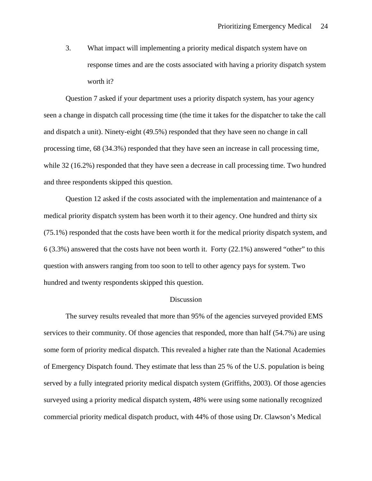<span id="page-23-0"></span>3. What impact will implementing a priority medical dispatch system have on response times and are the costs associated with having a priority dispatch system worth it?

Question 7 asked if your department uses a priority dispatch system, has your agency seen a change in dispatch call processing time (the time it takes for the dispatcher to take the call and dispatch a unit). Ninety-eight (49.5%) responded that they have seen no change in call processing time, 68 (34.3%) responded that they have seen an increase in call processing time, while 32 (16.2%) responded that they have seen a decrease in call processing time. Two hundred and three respondents skipped this question.

Question 12 asked if the costs associated with the implementation and maintenance of a medical priority dispatch system has been worth it to their agency. One hundred and thirty six (75.1%) responded that the costs have been worth it for the medical priority dispatch system, and 6 (3.3%) answered that the costs have not been worth it. Forty (22.1%) answered "other" to this question with answers ranging from too soon to tell to other agency pays for system. Two hundred and twenty respondents skipped this question.

#### Discussion

The survey results revealed that more than 95% of the agencies surveyed provided EMS services to their community. Of those agencies that responded, more than half (54.7%) are using some form of priority medical dispatch. This revealed a higher rate than the National Academies of Emergency Dispatch found. They estimate that less than 25 % of the U.S. population is being served by a fully integrated priority medical dispatch system (Griffiths, 2003). Of those agencies surveyed using a priority medical dispatch system, 48% were using some nationally recognized commercial priority medical dispatch product, with 44% of those using Dr. Clawson's Medical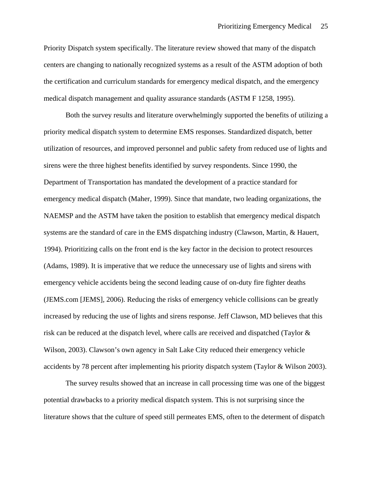Priority Dispatch system specifically. The literature review showed that many of the dispatch centers are changing to nationally recognized systems as a result of the ASTM adoption of both the certification and curriculum standards for emergency medical dispatch, and the emergency medical dispatch management and quality assurance standards (ASTM F 1258, 1995).

Both the survey results and literature overwhelmingly supported the benefits of utilizing a priority medical dispatch system to determine EMS responses. Standardized dispatch, better utilization of resources, and improved personnel and public safety from reduced use of lights and sirens were the three highest benefits identified by survey respondents. Since 1990, the Department of Transportation has mandated the development of a practice standard for emergency medical dispatch (Maher, 1999). Since that mandate, two leading organizations, the NAEMSP and the ASTM have taken the position to establish that emergency medical dispatch systems are the standard of care in the EMS dispatching industry (Clawson, Martin, & Hauert, 1994). Prioritizing calls on the front end is the key factor in the decision to protect resources (Adams, 1989). It is imperative that we reduce the unnecessary use of lights and sirens with emergency vehicle accidents being the second leading cause of on-duty fire fighter deaths (JEMS.com [JEMS], 2006). Reducing the risks of emergency vehicle collisions can be greatly increased by reducing the use of lights and sirens response. Jeff Clawson, MD believes that this risk can be reduced at the dispatch level, where calls are received and dispatched (Taylor & Wilson, 2003). Clawson's own agency in Salt Lake City reduced their emergency vehicle accidents by 78 percent after implementing his priority dispatch system (Taylor & Wilson 2003).

The survey results showed that an increase in call processing time was one of the biggest potential drawbacks to a priority medical dispatch system. This is not surprising since the literature shows that the culture of speed still permeates EMS, often to the determent of dispatch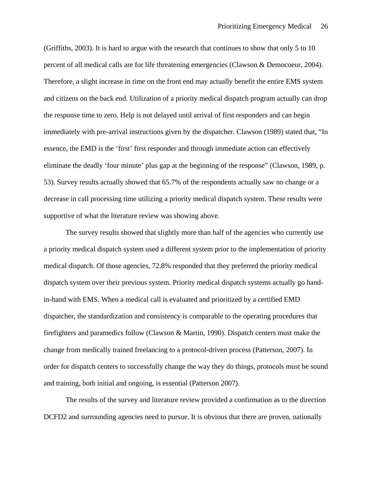(Griffiths, 2003). It is hard to argue with the research that continues to show that only 5 to 10 percent of all medical calls are for life threatening emergencies (Clawson & Democoeur, 2004). Therefore, a slight increase in time on the front end may actually benefit the entire EMS system and citizens on the back end. Utilization of a priority medical dispatch program actually can drop the response time to zero. Help is not delayed until arrival of first responders and can begin immediately with pre-arrival instructions given by the dispatcher. Clawson (1989) stated that, "In essence, the EMD is the 'first' first responder and through immediate action can effectively eliminate the deadly 'four minute' plus gap at the beginning of the response" (Clawson, 1989, p. 53). Survey results actually showed that 65.7% of the respondents actually saw no change or a decrease in call processing time utilizing a priority medical dispatch system. These results were supportive of what the literature review was showing above.

The survey results showed that slightly more than half of the agencies who currently use a priority medical dispatch system used a different system prior to the implementation of priority medical dispatch. Of those agencies, 72.8% responded that they preferred the priority medical dispatch system over their previous system. Priority medical dispatch systems actually go handin-hand with EMS. When a medical call is evaluated and prioritized by a certified EMD dispatcher, the standardization and consistency is comparable to the operating procedures that firefighters and paramedics follow (Clawson & Martin, 1990). Dispatch centers must make the change from medically trained freelancing to a protocol-driven process (Patterson, 2007). In order for dispatch centers to successfully change the way they do things, protocols must be sound and training, both initial and ongoing, is essential (Patterson 2007).

The results of the survey and literature review provided a confirmation as to the direction DCFD2 and surrounding agencies need to pursue. It is obvious that there are proven, nationally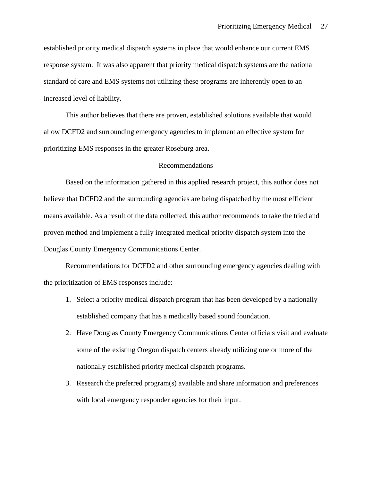<span id="page-26-0"></span>established priority medical dispatch systems in place that would enhance our current EMS response system. It was also apparent that priority medical dispatch systems are the national standard of care and EMS systems not utilizing these programs are inherently open to an increased level of liability.

This author believes that there are proven, established solutions available that would allow DCFD2 and surrounding emergency agencies to implement an effective system for prioritizing EMS responses in the greater Roseburg area.

# Recommendations

Based on the information gathered in this applied research project, this author does not believe that DCFD2 and the surrounding agencies are being dispatched by the most efficient means available. As a result of the data collected, this author recommends to take the tried and proven method and implement a fully integrated medical priority dispatch system into the Douglas County Emergency Communications Center.

Recommendations for DCFD2 and other surrounding emergency agencies dealing with the prioritization of EMS responses include:

- 1. Select a priority medical dispatch program that has been developed by a nationally established company that has a medically based sound foundation.
- 2. Have Douglas County Emergency Communications Center officials visit and evaluate some of the existing Oregon dispatch centers already utilizing one or more of the nationally established priority medical dispatch programs.
- 3. Research the preferred program(s) available and share information and preferences with local emergency responder agencies for their input.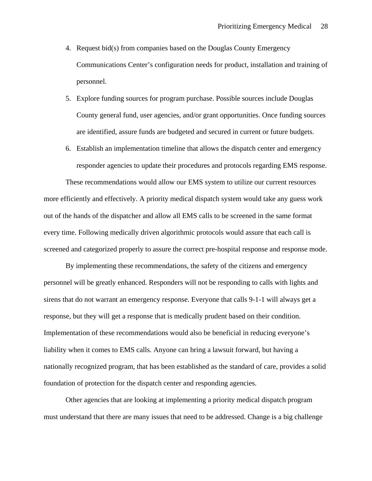- 4. Request bid(s) from companies based on the Douglas County Emergency Communications Center's configuration needs for product, installation and training of personnel.
- 5. Explore funding sources for program purchase. Possible sources include Douglas County general fund, user agencies, and/or grant opportunities. Once funding sources are identified, assure funds are budgeted and secured in current or future budgets.
- 6. Establish an implementation timeline that allows the dispatch center and emergency responder agencies to update their procedures and protocols regarding EMS response.

These recommendations would allow our EMS system to utilize our current resources more efficiently and effectively. A priority medical dispatch system would take any guess work out of the hands of the dispatcher and allow all EMS calls to be screened in the same format every time. Following medically driven algorithmic protocols would assure that each call is screened and categorized properly to assure the correct pre-hospital response and response mode.

By implementing these recommendations, the safety of the citizens and emergency personnel will be greatly enhanced. Responders will not be responding to calls with lights and sirens that do not warrant an emergency response. Everyone that calls 9-1-1 will always get a response, but they will get a response that is medically prudent based on their condition. Implementation of these recommendations would also be beneficial in reducing everyone's liability when it comes to EMS calls. Anyone can bring a lawsuit forward, but having a nationally recognized program, that has been established as the standard of care, provides a solid foundation of protection for the dispatch center and responding agencies.

Other agencies that are looking at implementing a priority medical dispatch program must understand that there are many issues that need to be addressed. Change is a big challenge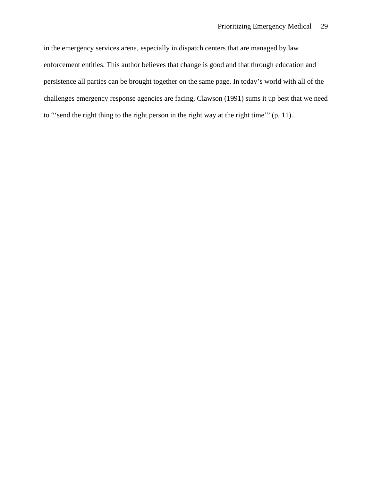in the emergency services arena, especially in dispatch centers that are managed by law enforcement entities. This author believes that change is good and that through education and persistence all parties can be brought together on the same page. In today's world with all of the challenges emergency response agencies are facing, Clawson (1991) sums it up best that we need to "'send the right thing to the right person in the right way at the right time'" (p. 11).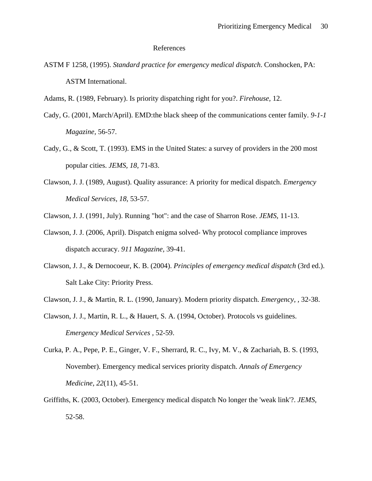#### References

<span id="page-29-0"></span>ASTM F 1258, (1995). *Standard practice for emergency medical dispatch*. Conshocken, PA: ASTM International.

Adams, R. (1989, February). Is priority dispatching right for you?. *Firehouse,* 12.

- Cady, G. (2001, March/April). EMD:the black sheep of the communications center family. *9-1-1 Magazine,* 56-57.
- Cady, G., & Scott, T. (1993). EMS in the United States: a survey of providers in the 200 most popular cities. *JEMS, 18,* 71-83.
- Clawson, J. J. (1989, August). Quality assurance: A priority for medical dispatch. *Emergency Medical Services, 18,* 53-57.
- Clawson, J. J. (1991, July). Running "hot": and the case of Sharron Rose. *JEMS,* 11-13.
- Clawson, J. J. (2006, April). Dispatch enigma solved- Why protocol compliance improves dispatch accuracy. *911 Magazine,* 39-41.
- Clawson, J. J., & Dernocoeur, K. B. (2004). *Principles of emergency medical dispatch* (3rd ed.). Salt Lake City: Priority Press.
- Clawson, J. J., & Martin, R. L. (1990, January). Modern priority dispatch. *Emergency, ,* 32-38.
- Clawson, J. J., Martin, R. L., & Hauert, S. A. (1994, October). Protocols vs guidelines. *Emergency Medical Services ,* 52-59.
- Curka, P. A., Pepe, P. E., Ginger, V. F., Sherrard, R. C., Ivy, M. V., & Zachariah, B. S. (1993, November). Emergency medical services priority dispatch. *Annals of Emergency Medicine, 22*(11), 45-51.
- Griffiths, K. (2003, October). Emergency medical dispatch No longer the 'weak link'?. *JEMS,*  52-58.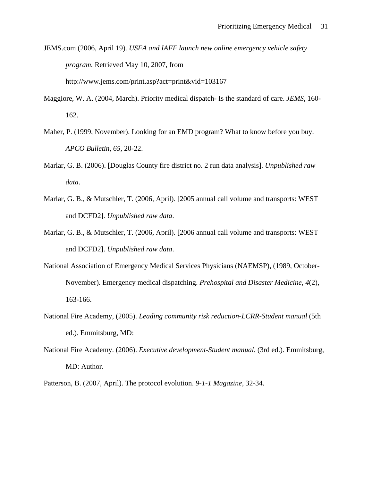- JEMS.com (2006, April 19). *USFA and IAFF launch new online emergency vehicle safety program.* Retrieved May 10, 2007, from http://www.jems.com/print.asp?act=print&vid=103167
- Maggiore, W. A. (2004, March). Priority medical dispatch- Is the standard of care. *JEMS,* 160- 162.
- Maher, P. (1999, November). Looking for an EMD program? What to know before you buy. *APCO Bulletin, 65,* 20-22.
- Marlar, G. B. (2006). [Douglas County fire district no. 2 run data analysis]. *Unpublished raw data*.
- Marlar, G. B., & Mutschler, T. (2006, April). [2005 annual call volume and transports: WEST and DCFD2]. *Unpublished raw data*.
- Marlar, G. B., & Mutschler, T. (2006, April). [2006 annual call volume and transports: WEST and DCFD2]. *Unpublished raw data*.
- National Association of Emergency Medical Services Physicians (NAEMSP), (1989, October-November). Emergency medical dispatching. *Prehospital and Disaster Medicine, 4*(2), 163-166.
- National Fire Academy, (2005). *Leading community risk reduction-LCRR-Student manual* (5th ed.). Emmitsburg, MD:
- National Fire Academy. (2006). *Executive development-Student manual.* (3rd ed.). Emmitsburg, MD: Author.
- Patterson, B. (2007, April). The protocol evolution. *9-1-1 Magazine,* 32-34.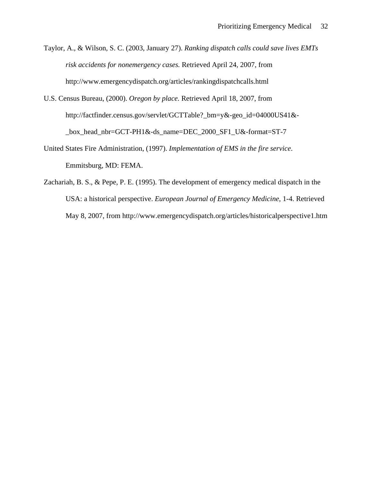Taylor, A., & Wilson, S. C. (2003, January 27). *Ranking dispatch calls could save lives EMTs risk accidents for nonemergency cases.* Retrieved April 24, 2007, from http://www.emergencydispatch.org/articles/rankingdispatchcalls.html

- U.S. Census Bureau, (2000). *Oregon by place.* Retrieved April 18, 2007, from http://factfinder.census.gov/servlet/GCTTable?\_bm=y&-geo\_id=04000US41&- \_box\_head\_nbr=GCT-PH1&-ds\_name=DEC\_2000\_SF1\_U&-format=ST-7
- United States Fire Administration, (1997). *Implementation of EMS in the fire service*. Emmitsburg, MD: FEMA.
- Zachariah, B. S., & Pepe, P. E. (1995). The development of emergency medical dispatch in the USA: a historical perspective. *European Journal of Emergency Medicine*, 1-4. Retrieved May 8, 2007, from http://www.emergencydispatch.org/articles/historicalperspective1.htm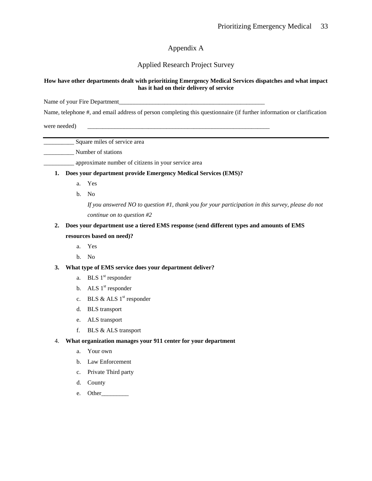# Appendix A

# Applied Research Project Survey

#### <span id="page-32-0"></span>**How have other departments dealt with prioritizing Emergency Medical Services dispatches and what impact has it had on their delivery of service**

Name of your Fire Department

Name, telephone #, and email address of person completing this questionnaire (if further information or clarification

were needed)

\_\_\_\_\_\_\_\_\_\_ Square miles of service area

\_\_\_\_\_\_\_\_\_\_ Number of stations

\_\_\_\_\_\_\_\_\_\_ approximate number of citizens in your service area

#### **1. Does your department provide Emergency Medical Services (EMS)?**

- a. Yes
- b. No

*If you answered NO to question #1, thank you for your participation in this survey, please do not continue on to question #2*

# **2. Does your department use a tiered EMS response (send different types and amounts of EMS resources based on need)?**

- a. Yes
- b. No

## **3. What type of EMS service does your department deliver?**

- a. BLS  $1<sup>st</sup>$  responder
- b. ALS  $1<sup>st</sup>$  responder
- c. BLS & ALS  $1<sup>st</sup>$  responder
- d. BLS transport
- e. ALS transport
- f. BLS & ALS transport

#### 4. **What organization manages your 911 center for your department**

- a. Your own
- b. Law Enforcement
- c. Private Third party
- d. County
- e. Other\_\_\_\_\_\_\_\_\_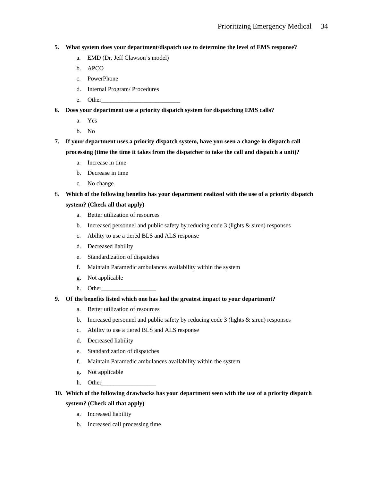#### **5. What system does your department/dispatch use to determine the level of EMS response?**

- a. EMD (Dr. Jeff Clawson's model)
- b. APCO
- c. PowerPhone
- d. Internal Program/ Procedures
- e. Other
- **6. Does your department use a priority dispatch system for dispatching EMS calls?** 
	- a. Yes
	- b. No
- **7. If your department uses a priority dispatch system, have you seen a change in dispatch call processing (time the time it takes from the dispatcher to take the call and dispatch a unit)?** 
	- a. Increase in time
	- b. Decrease in time
	- c. No change

# 8. **Which of the following benefits has your department realized with the use of a priority dispatch**

# **system? (Check all that apply)**

- a. Better utilization of resources
- b. Increased personnel and public safety by reducing code  $3$  (lights  $\&$  siren) responses
- c. Ability to use a tiered BLS and ALS response
- d. Decreased liability
- e. Standardization of dispatches
- f. Maintain Paramedic ambulances availability within the system
- g. Not applicable
- h. Other\_\_\_\_\_\_\_\_\_\_\_\_\_\_\_\_\_\_

#### **9. Of the benefits listed which one has had the greatest impact to your department?**

- a. Better utilization of resources
- b. Increased personnel and public safety by reducing code  $3$  (lights  $\&$  siren) responses
- c. Ability to use a tiered BLS and ALS response
- d. Decreased liability
- e. Standardization of dispatches
- f. Maintain Paramedic ambulances availability within the system
- g. Not applicable
- h. Other

# **10. Which of the following drawbacks has your department seen with the use of a priority dispatch system? (Check all that apply)**

- a. Increased liability
- b. Increased call processing time